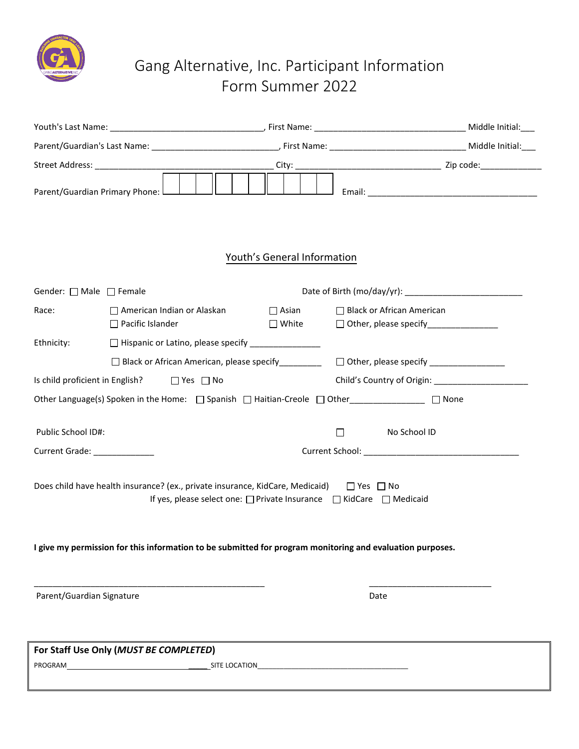

# Gang Alternative, Inc. Participant Information Form Summer 2022

|                                                                       | Parent/Guardian's Last Name: 1990 Manner (2008) (2008) (2009) (2018) (2019) (2019) (2019) (2019) (2019) (2019)                                                            |                                         |
|-----------------------------------------------------------------------|---------------------------------------------------------------------------------------------------------------------------------------------------------------------------|-----------------------------------------|
|                                                                       |                                                                                                                                                                           |                                         |
| Parent/Guardian Primary Phone: L                                      |                                                                                                                                                                           |                                         |
|                                                                       | Youth's General Information                                                                                                                                               |                                         |
| Gender: $\Box$ Male $\Box$ Female                                     |                                                                                                                                                                           |                                         |
| Race:<br>$\Box$ American Indian or Alaskan<br>$\Box$ Pacific Islander | $\Box$ Asian<br>□ Black or African American<br>$\square$ White                                                                                                            | □ Other, please specify________________ |
| Ethnicity:                                                            | □ Hispanic or Latino, please specify _________________                                                                                                                    |                                         |
|                                                                       | □ Black or African American, please specify__________  □ Other, please specify _______________                                                                            |                                         |
| Is youth proficient in English? $\Box$ Yes $\Box$ No                  | Youth's Country of Origin:                                                                                                                                                |                                         |
|                                                                       |                                                                                                                                                                           |                                         |
|                                                                       | None                                                                                                                                                                      |                                         |
| Public School ID#:                                                    | $\Box$                                                                                                                                                                    | No School ID                            |
| Current Grade: ______________                                         |                                                                                                                                                                           |                                         |
|                                                                       | Does youth have health insurance? (ex., private insurance, KidCare, Medicaid) $\Box$ Yes $\Box$ No<br>If yes, please select one: □ Private Insurance □ KidCare □ Medicaid |                                         |
|                                                                       | I give my permission for this information to be submitted for program monitoring and evaluation purposes.                                                                 |                                         |
| Parent/Guardian Signature                                             | Date                                                                                                                                                                      |                                         |
| For Staff Use Only (MUST BE COMPLETED)<br>PROGRAM                     | SITE LOCATION                                                                                                                                                             |                                         |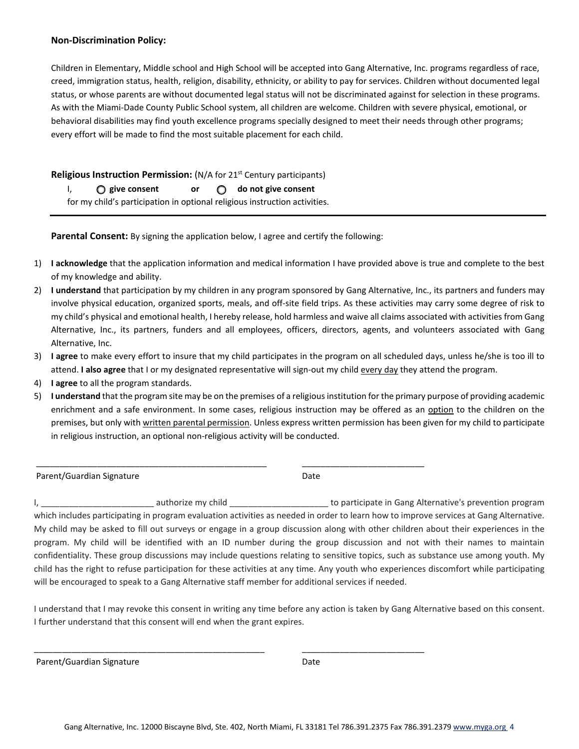## **Non-Discrimination Policy:**

Children in Elementary, Middle school and High School will be accepted into Gang Alternative, Inc. programs regardless of race, creed, immigration status, health, religion, disability, ethnicity, or ability to pay for services. Children without documented legal status, or whose parents are without documented legal status will not be discriminated against for selection in these programs. As with the Miami-Dade County Public School system, all children are welcome. Children with severe physical, emotional, or behavioral disabilities may find youth excellence programs specially designed to meet their needs through other programs; every effort will be made to find the most suitable placement for each youth.

# **Religious Instruction Permission:** (N/A for 21<sup>st</sup> Century participants)

I, **give consent or do not give consent** for my child's participation in optional religious instruction activities.

**Parental Consent:** By signing the application below, I agree and certify the following:

\_\_\_\_\_\_\_\_\_\_\_\_\_\_\_\_\_\_\_\_\_\_\_\_\_\_\_\_\_\_\_\_\_\_\_\_\_\_\_\_\_\_\_\_\_\_\_\_\_ \_\_\_\_\_\_\_\_\_\_\_\_\_\_\_\_\_\_\_\_\_\_\_\_\_\_

\_\_\_\_\_\_\_\_\_\_\_\_\_\_\_\_\_\_\_\_\_\_\_\_\_\_\_\_\_\_\_\_\_\_\_\_\_\_\_\_\_\_\_\_\_\_\_\_\_ \_\_\_\_\_\_\_\_\_\_\_\_\_\_\_\_\_\_\_\_\_\_\_\_\_\_

- 1) **I acknowledge** that the application information and medical information I have provided above is true and complete to the best of my knowledge and ability.
- 2) **I understand** that participation by my children in any program sponsored by Gang Alternative, Inc., its partners and funders may involve physical education, organized sports, meals, and off-site field trips. As these activities may carry some degree of risk to my child's physical and emotional health, I hereby release, hold harmless and waive all claims associated with activities from Gang Alternative, Inc., its partners, funders and all employees, officers, directors, agents, and volunteers associated with Gang Alternative, Inc.
- 3) **I agree** to make every effort to insure that my youth participates in the program on all scheduled days, unless he/she is too ill to attend. **I also agree** that I or my designated representative will sign-out my youth every day they attend the program.
- 4) **I agree** to all the program standards.
- 5) **I understand** that the program site may be on the premises of a religious institution for the primary purpose of providing academic enrichment and a safe environment. In some cases, religious instruction may be offered as an option to the children on the premises, but only with written parental permission. Unless express written permission has been given for my youth to participate in religious instruction, an optional non-religious activity will be conducted.

Parent/Guardian Signature **Date of Australian Signature** Date

I, \_\_\_\_\_\_\_\_\_\_\_\_\_\_\_\_\_\_\_\_\_\_\_\_ authorize my youth \_\_\_\_\_\_\_\_\_\_\_\_\_\_\_\_\_\_\_\_\_ to participate in Gang Alternative's prevention program which includes participating in program evaluation activities as needed in order to learn how to improve services at Gang Alternative. My youth may be asked to fill out surveys or engage in a group discussion along with other children about their experiences in the program. My youth will be identified with an ID number during the group discussion and not with their names to maintain confidentiality. These group discussions may include questions relating to sensitive topics, such as substance use among youth. My youth has the right to refuse participation for these activities at any time. Any youth who experiences discomfort while participating will be encouraged to speak to a Gang Alternative staff member for additional services if needed.

I understand that I may revoke this consent in writing any time before any action is taken by Gang Alternative based on this consent. I further understand that this consent will end when the grant expires.

Parent/Guardian Signature Date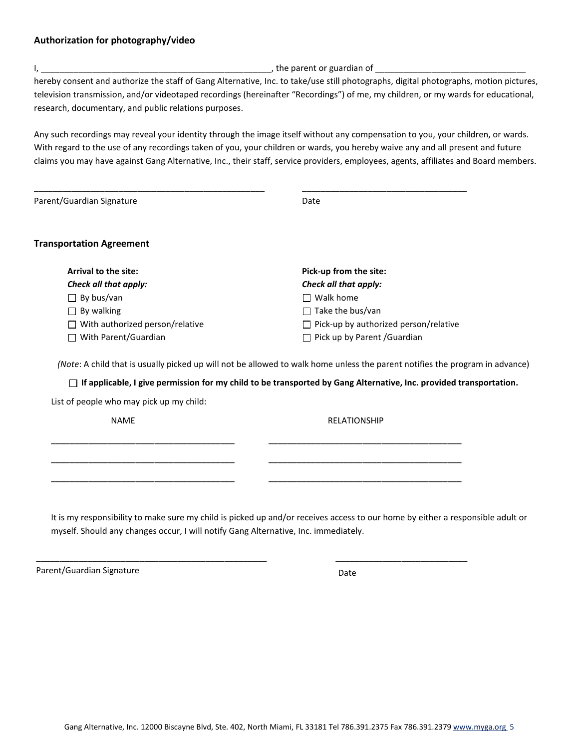### **Authorization for photography/video**

I, \_\_\_\_\_\_\_\_\_\_\_\_\_\_\_\_\_\_\_\_\_\_\_\_\_\_\_\_\_\_\_\_\_\_\_\_\_\_\_\_\_\_\_\_\_\_\_\_\_, the parent or guardian of \_\_\_\_\_\_\_\_\_\_\_\_\_\_\_\_\_\_\_\_\_\_\_\_\_\_\_\_\_\_\_\_

hereby consent and authorize the staff of Gang Alternative, Inc. to take/use still photographs, digital photographs, motion pictures, television transmission, and/or videotaped recordings (hereinafter "Recordings") of me, my children, or my wards for educational, research, documentary, and public relations purposes.

Any such recordings may reveal your identity through the image itself without any compensation to you, your children, or wards. With regard to the use of any recordings taken of you, your children or wards, you hereby waive any and all present and future claims you may have against Gang Alternative, Inc., their staff, service providers, employees, agents, affiliates and Board members.

| Parent/Guardian Signature                       | Date                                         |
|-------------------------------------------------|----------------------------------------------|
| <b>Transportation Agreement</b>                 |                                              |
| <b>Arrival to the site:</b>                     | Pick-up from the site:                       |
| Check all that apply:                           | Check all that apply:                        |
| $\Box$ By bus/van                               | Walk home                                    |
|                                                 |                                              |
| By walking<br>$\mathsf{L}$                      | Take the bus/van                             |
| With authorized person/relative<br>$\mathsf{L}$ | $\Box$ Pick-up by authorized person/relative |

*(Note*: A youth that is usually picked up will not be allowed to walk home unless the parent notifies the program in advance)

#### **If applicable, I give permission for my youth to be transported by Gang Alternative, Inc. provided**

\_\_\_\_\_\_\_\_\_\_\_\_\_\_\_\_\_\_\_\_\_\_\_\_\_\_\_\_\_\_\_\_\_\_\_\_\_\_\_ \_\_\_\_\_\_\_\_\_\_\_\_\_\_\_\_\_\_\_\_\_\_\_\_\_\_\_\_\_\_\_\_\_\_\_\_\_\_\_\_\_

\_\_\_\_\_\_\_\_\_\_\_\_\_\_\_\_\_\_\_\_\_\_\_\_\_\_\_\_\_\_\_\_\_\_\_\_\_\_\_ \_\_\_\_\_\_\_\_\_\_\_\_\_\_\_\_\_\_\_\_\_\_\_\_\_\_\_\_\_\_\_\_\_\_\_\_\_\_\_\_\_

\_\_\_\_\_\_\_\_\_\_\_\_\_\_\_\_\_\_\_\_\_\_\_\_\_\_\_\_\_\_\_\_\_\_\_\_\_\_\_ \_\_\_\_\_\_\_\_\_\_\_\_\_\_\_\_\_\_\_\_\_\_\_\_\_\_\_\_\_\_\_\_\_\_\_\_\_\_\_\_\_

\_\_\_\_\_\_\_\_\_\_\_\_\_\_\_\_\_\_\_\_\_\_\_\_\_\_\_\_\_\_\_\_\_\_\_\_\_\_\_\_\_\_\_\_\_\_\_\_\_ \_\_\_\_\_\_\_\_\_\_\_\_\_\_\_\_\_\_\_\_\_\_\_\_\_\_\_\_

**transportation.** List of people who may pick up my youth:

NAME RELATIONSHIP

It is my responsibility to make sure my youth is picked up and/or receives access to our home by either a responsible adult or myself. Should any changes occur, I will notify Gang Alternative, Inc. immediately.

Parent/Guardian Signature Date Date Date